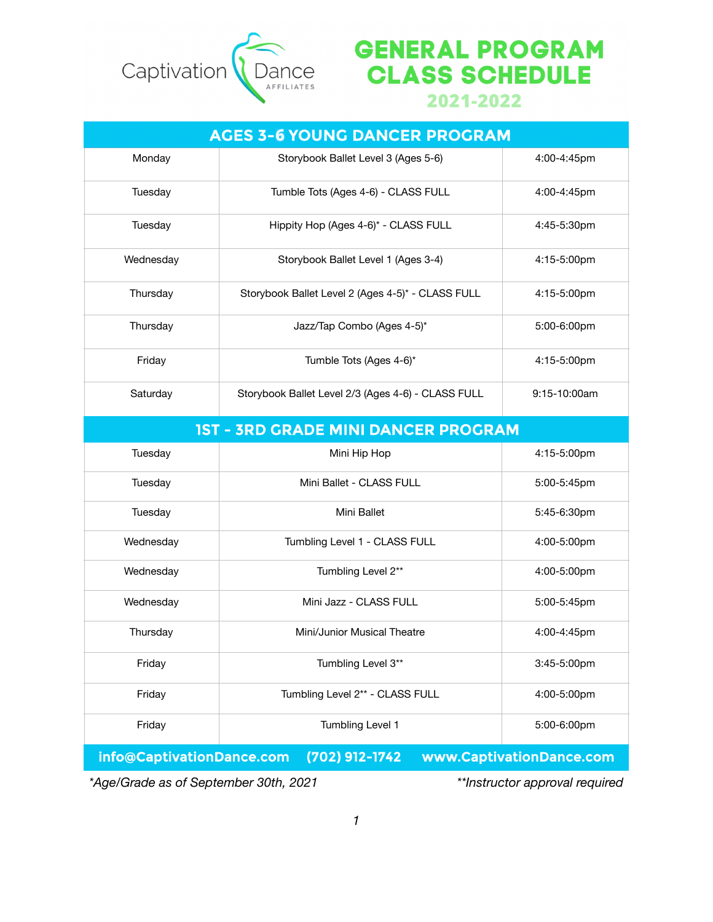

## **GENERAL PROGRAM CLASS SCHEDULE**

2021-2022

## **AGES 3-6 YOUNG DANCER PROGRAM** Monday Storybook Ballet Level 3 (Ages 5-6) 4:00-4:45pm Tuesday Tumble Tots (Ages 4-6) - CLASS FULL 4:00-4:45pm Tuesday Hippity Hop (Ages 4-6)\* - CLASS FULL 4:45-5:30pm Wednesday Storybook Ballet Level 1 (Ages 3-4) 4:15-5:00pm Thursday Storybook Ballet Level 2 (Ages 4-5)\* - CLASS FULL 4:15-5:00pm Thursday Jazz/Tap Combo (Ages 4-5)\* 5:00-6:00pm Friday **Tumble Tots (Ages 4-6)\*** 4:15-5:00pm Saturday Storybook Ballet Level 2/3 (Ages 4-6) - CLASS FULL 9:15-10:00am **1ST - 3RD GRADE MINI DANCER PROGRAM** Tuesday Mini Hip Hop 4:15-5:00pm

| Tuesday                                                                 | Mini Hip Hop                    | 4:15-5:00pm      |  |
|-------------------------------------------------------------------------|---------------------------------|------------------|--|
| Tuesday                                                                 | Mini Ballet - CLASS FULL        | 5:00-5:45pm      |  |
| Tuesday                                                                 | Mini Ballet                     | 5:45-6:30pm      |  |
| Wednesday                                                               | Tumbling Level 1 - CLASS FULL   | 4:00-5:00pm      |  |
| Wednesday                                                               | Tumbling Level 2**              | 4:00-5:00pm      |  |
| Wednesday                                                               | Mini Jazz - CLASS FULL          | 5:00-5:45pm      |  |
| Thursday                                                                | Mini/Junior Musical Theatre     | 4:00-4:45pm      |  |
| Friday                                                                  | Tumbling Level 3**              | $3:45 - 5:00$ pm |  |
| Friday                                                                  | Tumbling Level 2** - CLASS FULL | 4:00-5:00pm      |  |
| Friday                                                                  | Tumbling Level 1                | 5:00-6:00pm      |  |
| info@CaptivationDance.com<br>(702) 912-1742<br>www.CaptivationDance.com |                                 |                  |  |

*\*Age/Grade as of September 30th, 2021 \*\*Instructor approval required*